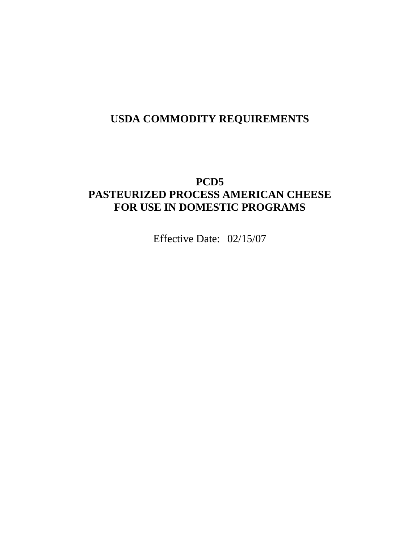# **USDA COMMODITY REQUIREMENTS**

# **PCD5 PASTEURIZED PROCESS AMERICAN CHEESE FOR USE IN DOMESTIC PROGRAMS**

Effective Date: 02/15/07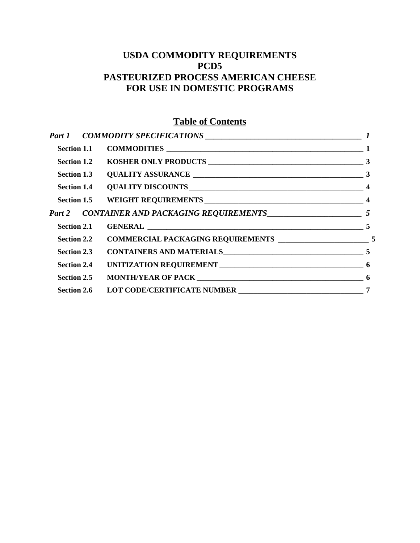# **USDA COMMODITY REQUIREMENTS PCD5 PASTEURIZED PROCESS AMERICAN CHEESE FOR USE IN DOMESTIC PROGRAMS**

# **Table of Contents**

| Section 2.1        |  |  |
|--------------------|--|--|
|                    |  |  |
| Section 2.3        |  |  |
| <b>Section 2.4</b> |  |  |
| Section 2.5        |  |  |
| <b>Section 2.6</b> |  |  |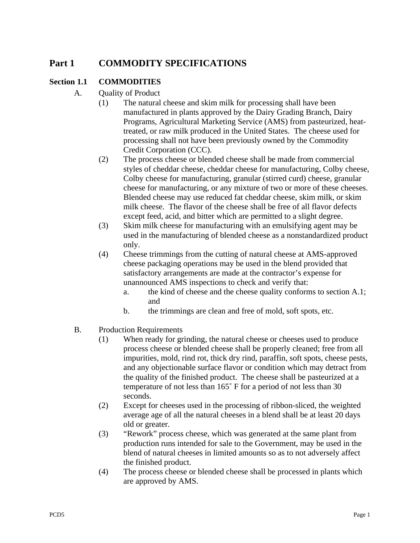# <span id="page-2-0"></span>**Part 1 COMMODITY SPECIFICATIONS**

### **Section 1.1 COMMODITIES**

- A. Quality of Product
	- (1) The natural cheese and skim milk for processing shall have been manufactured in plants approved by the Dairy Grading Branch, Dairy Programs, Agricultural Marketing Service (AMS) from pasteurized, heattreated, or raw milk produced in the United States. The cheese used for processing shall not have been previously owned by the Commodity Credit Corporation (CCC).
	- (2) The process cheese or blended cheese shall be made from commercial styles of cheddar cheese, cheddar cheese for manufacturing, Colby cheese, Colby cheese for manufacturing, granular (stirred curd) cheese, granular cheese for manufacturing, or any mixture of two or more of these cheeses. Blended cheese may use reduced fat cheddar cheese, skim milk, or skim milk cheese. The flavor of the cheese shall be free of all flavor defects except feed, acid, and bitter which are permitted to a slight degree.
	- (3) Skim milk cheese for manufacturing with an emulsifying agent may be used in the manufacturing of blended cheese as a nonstandardized product only.
	- (4) Cheese trimmings from the cutting of natural cheese at AMS-approved cheese packaging operations may be used in the blend provided that satisfactory arrangements are made at the contractor's expense for unannounced AMS inspections to check and verify that:
		- a. the kind of cheese and the cheese quality conforms to section A.1; and
		- b. the trimmings are clean and free of mold, soft spots, etc.
- B. Production Requirements
	- (1) When ready for grinding, the natural cheese or cheeses used to produce process cheese or blended cheese shall be properly cleaned; free from all impurities, mold, rind rot, thick dry rind, paraffin, soft spots, cheese pests, and any objectionable surface flavor or condition which may detract from the quality of the finished product. The cheese shall be pasteurized at a temperature of not less than 165˚ F for a period of not less than 30 seconds.
	- (2) Except for cheeses used in the processing of ribbon-sliced, the weighted average age of all the natural cheeses in a blend shall be at least 20 days old or greater.
	- (3) "Rework" process cheese, which was generated at the same plant from production runs intended for sale to the Government, may be used in the blend of natural cheeses in limited amounts so as to not adversely affect the finished product.
	- (4) The process cheese or blended cheese shall be processed in plants which are approved by AMS.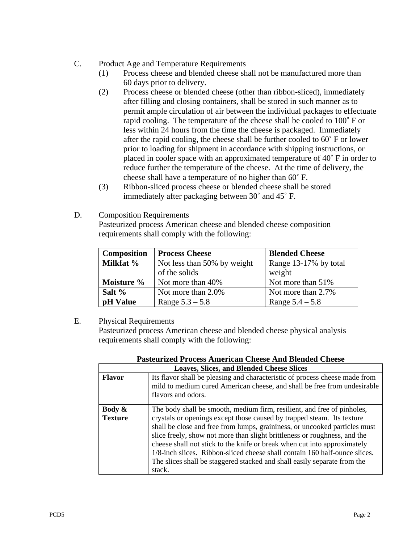#### C. Product Age and Temperature Requirements

- (1) Process cheese and blended cheese shall not be manufactured more than 60 days prior to delivery.
- (2) Process cheese or blended cheese (other than ribbon-sliced), immediately after filling and closing containers, shall be stored in such manner as to permit ample circulation of air between the individual packages to effectuate rapid cooling. The temperature of the cheese shall be cooled to 100˚ F or less within 24 hours from the time the cheese is packaged. Immediately after the rapid cooling, the cheese shall be further cooled to 60˚ F or lower prior to loading for shipment in accordance with shipping instructions, or placed in cooler space with an approximated temperature of 40˚ F in order to reduce further the temperature of the cheese. At the time of delivery, the cheese shall have a temperature of no higher than 60˚ F.
- (3) Ribbon-sliced process cheese or blended cheese shall be stored immediately after packaging between 30˚ and 45˚ F.
- D. Composition Requirements

Pasteurized process American cheese and blended cheese composition requirements shall comply with the following:

| <b>Composition</b> | <b>Process Cheese</b>       | <b>Blended Cheese</b> |
|--------------------|-----------------------------|-----------------------|
| Milkfat %          | Not less than 50% by weight | Range 13-17% by total |
|                    | of the solids               | weight                |
| Moisture %         | Not more than 40%           | Not more than 51%     |
| Salt $%$           | Not more than 2.0%          | Not more than 2.7%    |
| pH Value           | Range $5.3 - 5.8$           | Range $5.4 - 5.8$     |

E. Physical Requirements

Pasteurized process American cheese and blended cheese physical analysis requirements shall comply with the following:

| <b>Pasteurized Process American Cheese And Blended Cheese</b> |                                                                                                                                                                                                                                                                                                                                                                                                                                                                                                                                                              |  |  |  |  |
|---------------------------------------------------------------|--------------------------------------------------------------------------------------------------------------------------------------------------------------------------------------------------------------------------------------------------------------------------------------------------------------------------------------------------------------------------------------------------------------------------------------------------------------------------------------------------------------------------------------------------------------|--|--|--|--|
| <b>Loaves, Slices, and Blended Cheese Slices</b>              |                                                                                                                                                                                                                                                                                                                                                                                                                                                                                                                                                              |  |  |  |  |
| <b>Flavor</b>                                                 | Its flavor shall be pleasing and characteristic of process cheese made from<br>mild to medium cured American cheese, and shall be free from undesirable<br>flavors and odors.                                                                                                                                                                                                                                                                                                                                                                                |  |  |  |  |
| Body $\&$<br><b>Texture</b>                                   | The body shall be smooth, medium firm, resilient, and free of pinholes,<br>crystals or openings except those caused by trapped steam. Its texture<br>shall be close and free from lumps, graininess, or uncooked particles must<br>slice freely, show not more than slight brittleness or roughness, and the<br>cheese shall not stick to the knife or break when cut into approximately<br>1/8-inch slices. Ribbon-sliced cheese shall contain 160 half-ounce slices.<br>The slices shall be staggered stacked and shall easily separate from the<br>stack. |  |  |  |  |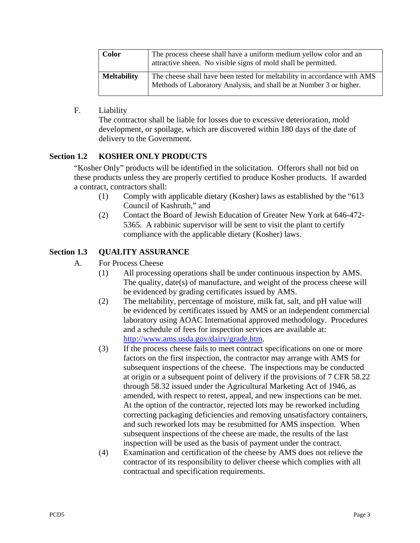<span id="page-4-0"></span>

| <b>Color</b>       | The process cheese shall have a uniform medium yellow color and an<br>attractive sheen. No visible signs of mold shall be permitted.            |
|--------------------|-------------------------------------------------------------------------------------------------------------------------------------------------|
| <b>Meltability</b> | The cheese shall have been tested for meltability in accordance with AMS<br>Methods of Laboratory Analysis, and shall be at Number 3 or higher. |

F. Liability

The contractor shall be liable for losses due to excessive deterioration, mold development, or spoilage, which are discovered within 180 days of the date of delivery to the Government.

## **Section 1.2 KOSHER ONLY PRODUCTS**

"Kosher Only" products will be identified in the solicitation. Offerors shall not bid on these products unless they are properly certified to produce Kosher products. If awarded a contract, contractors shall:

- (1) Comply with applicable dietary (Kosher) laws as established by the "613 Council of Kashruth," and
- (2) Contact the Board of Jewish Education of Greater New York at 646-472- 5365. A rabbinic supervisor will be sent to visit the plant to certify compliance with the applicable dietary (Kosher) laws.

# **Section 1.3 QUALITY ASSURANCE**

- A. For Process Cheese
	- (1) All processing operations shall be under continuous inspection by AMS. The quality, date(s) of manufacture, and weight of the process cheese will be evidenced by grading certificates issued by AMS.
	- (2) The meltability, percentage of moisture, milk fat, salt, and pH value will be evidenced by certificates issued by AMS or an independent commercial laboratory using AOAC International approved methodology. Procedures and a schedule of fees for inspection services are available at: [http://www.ams.usda.gov/dairy/grade.htm.](http://www.ams.usda.gov/dairy/grade.htm)
	- (3) If the process cheese fails to meet contract specifications on one or more factors on the first inspection, the contractor may arrange with AMS for subsequent inspections of the cheese. The inspections may be conducted at origin or a subsequent point of delivery if the provisions of 7 CFR 58.22 through 58.32 issued under the Agricultural Marketing Act of 1946, as amended, with respect to retest, appeal, and new inspections can be met. At the option of the contractor, rejected lots may be reworked including correcting packaging deficiencies and removing unsatisfactory containers, and such reworked lots may be resubmitted for AMS inspection. When subsequent inspections of the cheese are made, the results of the last inspection will be used as the basis of payment under the contract.
	- (4) Examination and certification of the cheese by AMS does not relieve the contractor of its responsibility to deliver cheese which complies with all contractual and specification requirements.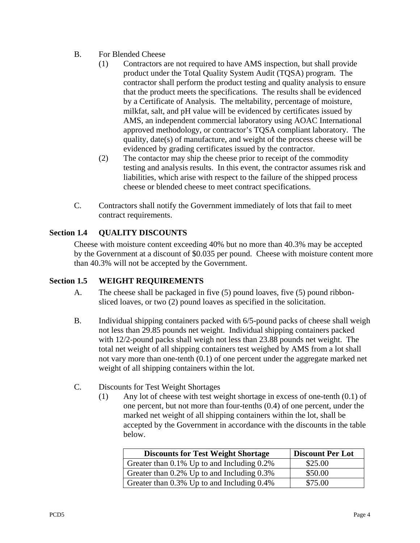- <span id="page-5-0"></span>B. For Blended Cheese
	- (1) Contractors are not required to have AMS inspection, but shall provide product under the Total Quality System Audit (TQSA) program. The contractor shall perform the product testing and quality analysis to ensure that the product meets the specifications. The results shall be evidenced by a Certificate of Analysis. The meltability, percentage of moisture, milkfat, salt, and pH value will be evidenced by certificates issued by AMS, an independent commercial laboratory using AOAC International approved methodology, or contractor's TQSA compliant laboratory. The quality, date(s) of manufacture, and weight of the process cheese will be evidenced by grading certificates issued by the contractor.
	- (2) The contactor may ship the cheese prior to receipt of the commodity testing and analysis results. In this event, the contractor assumes risk and liabilities, which arise with respect to the failure of the shipped process cheese or blended cheese to meet contract specifications.
- C. Contractors shall notify the Government immediately of lots that fail to meet contract requirements.

## **Section 1.4 QUALITY DISCOUNTS**

Cheese with moisture content exceeding 40% but no more than 40.3% may be accepted by the Government at a discount of \$0.035 per pound. Cheese with moisture content more than 40.3% will not be accepted by the Government.

#### **Section 1.5 WEIGHT REQUIREMENTS**

- A. The cheese shall be packaged in five (5) pound loaves, five (5) pound ribbonsliced loaves, or two (2) pound loaves as specified in the solicitation.
- B. Individual shipping containers packed with 6/5-pound packs of cheese shall weigh not less than 29.85 pounds net weight. Individual shipping containers packed with 12/2-pound packs shall weigh not less than 23.88 pounds net weight. The total net weight of all shipping containers test weighed by AMS from a lot shall not vary more than one-tenth (0.1) of one percent under the aggregate marked net weight of all shipping containers within the lot.
- C. Discounts for Test Weight Shortages
	- (1) Any lot of cheese with test weight shortage in excess of one-tenth (0.1) of one percent, but not more than four-tenths (0.4) of one percent, under the marked net weight of all shipping containers within the lot, shall be accepted by the Government in accordance with the discounts in the table below.

| <b>Discounts for Test Weight Shortage</b>        | <b>Discount Per Lot</b> |
|--------------------------------------------------|-------------------------|
| Greater than $0.1\%$ Up to and Including $0.2\%$ | \$25.00                 |
| Greater than $0.2\%$ Up to and Including $0.3\%$ | \$50.00                 |
| Greater than 0.3% Up to and Including 0.4%       | \$75.00                 |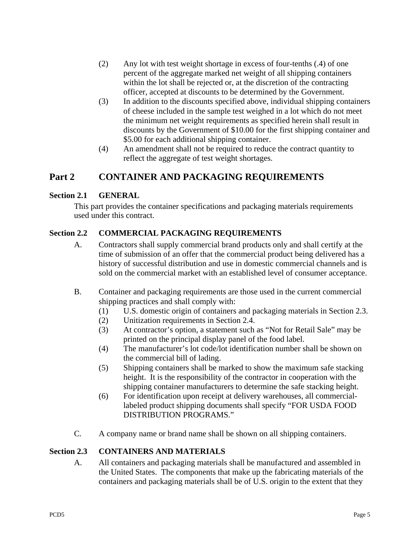- <span id="page-6-0"></span>(2) Any lot with test weight shortage in excess of four-tenths (.4) of one percent of the aggregate marked net weight of all shipping containers within the lot shall be rejected or, at the discretion of the contracting officer, accepted at discounts to be determined by the Government.
- (3) In addition to the discounts specified above, individual shipping containers of cheese included in the sample test weighed in a lot which do not meet the minimum net weight requirements as specified herein shall result in discounts by the Government of \$10.00 for the first shipping container and \$5.00 for each additional shipping container.
- (4) An amendment shall not be required to reduce the contract quantity to reflect the aggregate of test weight shortages.

# **Part 2 CONTAINER AND PACKAGING REQUIREMENTS**

#### **Section 2.1 GENERAL**

This part provides the container specifications and packaging materials requirements used under this contract.

### **Section 2.2 COMMERCIAL PACKAGING REQUIREMENTS**

- A. Contractors shall supply commercial brand products only and shall certify at the time of submission of an offer that the commercial product being delivered has a history of successful distribution and use in domestic commercial channels and is sold on the commercial market with an established level of consumer acceptance.
- B. Container and packaging requirements are those used in the current commercial shipping practices and shall comply with:
	- (1) U.S. domestic origin of containers and packaging materials in Section 2.3.
	- (2) Unitization requirements in Section 2.4.
	- (3) At contractor's option, a statement such as "Not for Retail Sale" may be printed on the principal display panel of the food label.
	- (4) The manufacturer's lot code/lot identification number shall be shown on the commercial bill of lading.
	- (5) Shipping containers shall be marked to show the maximum safe stacking height. It is the responsibility of the contractor in cooperation with the shipping container manufacturers to determine the safe stacking height.
	- (6) For identification upon receipt at delivery warehouses, all commerciallabeled product shipping documents shall specify "FOR USDA FOOD DISTRIBUTION PROGRAMS."
- C. A company name or brand name shall be shown on all shipping containers.

#### **Section 2.3 CONTAINERS AND MATERIALS**

A. All containers and packaging materials shall be manufactured and assembled in the United States. The components that make up the fabricating materials of the containers and packaging materials shall be of U.S. origin to the extent that they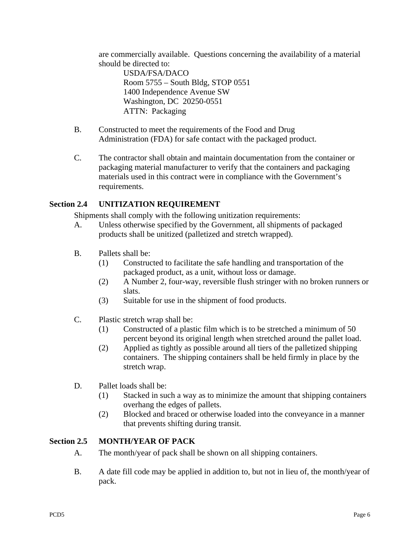<span id="page-7-0"></span>are commercially available. Questions concerning the availability of a material should be directed to:

USDA/FSA/DACO Room 5755 – South Bldg, STOP 0551 1400 Independence Avenue SW Washington, DC 20250-0551 ATTN: Packaging

- B. Constructed to meet the requirements of the Food and Drug Administration (FDA) for safe contact with the packaged product.
- C. The contractor shall obtain and maintain documentation from the container or packaging material manufacturer to verify that the containers and packaging materials used in this contract were in compliance with the Government's requirements.

## **Section 2.4 UNITIZATION REQUIREMENT**

Shipments shall comply with the following unitization requirements:

- A. Unless otherwise specified by the Government, all shipments of packaged products shall be unitized (palletized and stretch wrapped).
- B. Pallets shall be:
	- (1) Constructed to facilitate the safe handling and transportation of the packaged product, as a unit, without loss or damage.
	- (2) A Number 2, four-way, reversible flush stringer with no broken runners or slats.
	- (3) Suitable for use in the shipment of food products.
- C. Plastic stretch wrap shall be:
	- (1) Constructed of a plastic film which is to be stretched a minimum of 50 percent beyond its original length when stretched around the pallet load.
	- (2) Applied as tightly as possible around all tiers of the palletized shipping containers. The shipping containers shall be held firmly in place by the stretch wrap.
- D. Pallet loads shall be:
	- (1) Stacked in such a way as to minimize the amount that shipping containers overhang the edges of pallets.
	- (2) Blocked and braced or otherwise loaded into the conveyance in a manner that prevents shifting during transit.

## **Section 2.5 MONTH/YEAR OF PACK**

- A. The month/year of pack shall be shown on all shipping containers.
- B. A date fill code may be applied in addition to, but not in lieu of, the month/year of pack.